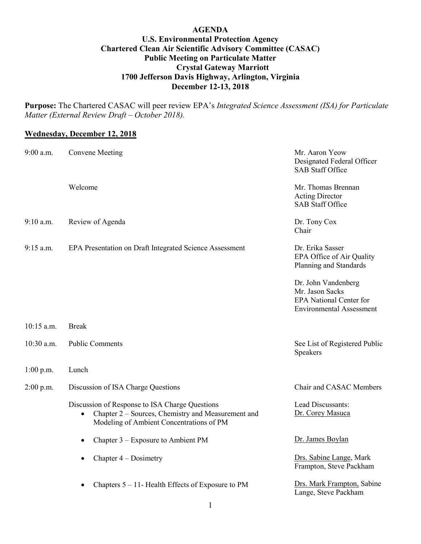## **AGENDA U.S. Environmental Protection Agency Chartered Clean Air Scientific Advisory Committee (CASAC) Public Meeting on Particulate Matter Crystal Gateway Marriott 1700 Jefferson Davis Highway, Arlington, Virginia December 12-13, 2018**

**Purpose:** The Chartered CASAC will peer review EPA's *Integrated Science Assessment (ISA) for Particulate Matter (External Review Draft – October 2018).*

## **Wednesday, December 12, 2018**

| 9:00 a.m.    | <b>Convene Meeting</b>                                                                                                                                        | Mr. Aaron Yeow<br>Designated Federal Officer<br><b>SAB Staff Office</b>                                     |
|--------------|---------------------------------------------------------------------------------------------------------------------------------------------------------------|-------------------------------------------------------------------------------------------------------------|
|              | Welcome                                                                                                                                                       | Mr. Thomas Brennan<br><b>Acting Director</b><br><b>SAB Staff Office</b>                                     |
| $9:10$ a.m.  | Review of Agenda                                                                                                                                              | Dr. Tony Cox<br>Chair                                                                                       |
| $9:15$ a.m.  | EPA Presentation on Draft Integrated Science Assessment                                                                                                       | Dr. Erika Sasser<br>EPA Office of Air Quality<br>Planning and Standards                                     |
|              |                                                                                                                                                               | Dr. John Vandenberg<br>Mr. Jason Sacks<br><b>EPA National Center for</b><br><b>Environmental Assessment</b> |
| $10:15$ a.m. | <b>Break</b>                                                                                                                                                  |                                                                                                             |
| 10:30 a.m.   | <b>Public Comments</b>                                                                                                                                        | See List of Registered Public<br>Speakers                                                                   |
| 1:00 p.m.    | Lunch                                                                                                                                                         |                                                                                                             |
| $2:00$ p.m.  | Discussion of ISA Charge Questions                                                                                                                            | Chair and CASAC Members                                                                                     |
|              | Discussion of Response to ISA Charge Questions<br>Chapter 2 – Sources, Chemistry and Measurement and<br>$\bullet$<br>Modeling of Ambient Concentrations of PM | Lead Discussants:<br>Dr. Corey Masuca                                                                       |
|              | Chapter $3$ – Exposure to Ambient PM<br>$\bullet$                                                                                                             | Dr. James Boylan                                                                                            |
|              | Chapter $4 -$ Dosimetry<br>$\bullet$                                                                                                                          | Drs. Sabine Lange, Mark<br>Frampton, Steve Packham                                                          |
|              | Chapters $5 - 11$ - Health Effects of Exposure to PM                                                                                                          | Drs. Mark Frampton, Sabine<br>Lange, Steve Packham                                                          |